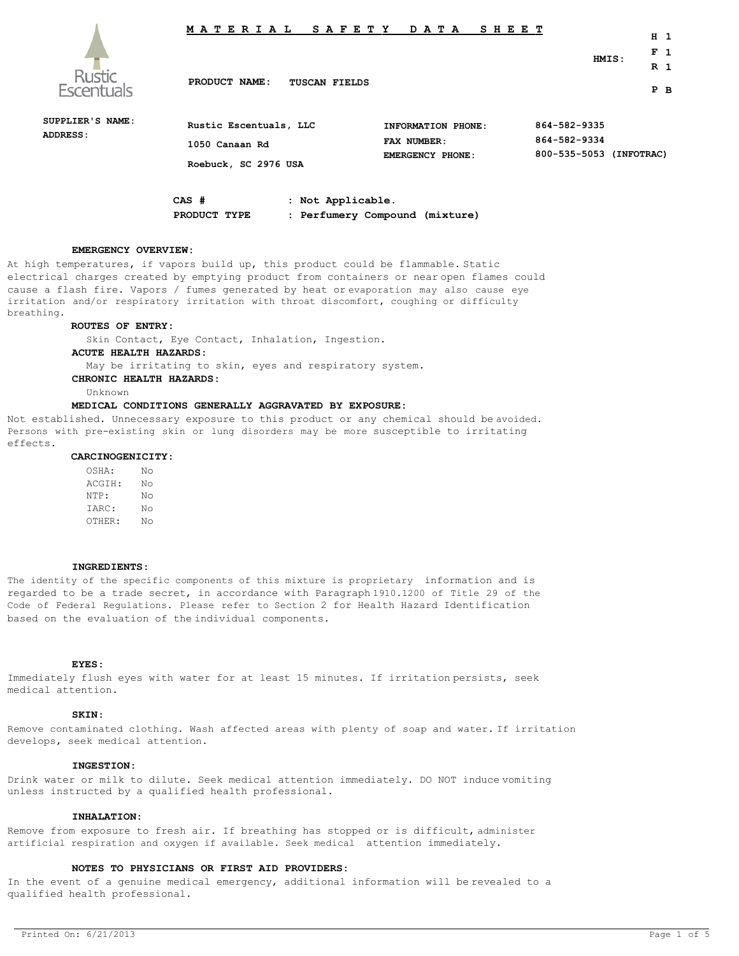

# **M A T E R I A L S A F E T Y D A T A S H E E T**

**PRODUCT NAME: TUSCAN FIELDS**

**R 1 P B**

**H 1 F 1**

**HMIS:**

| SUPPLIER'S NAME:<br>ADDRESS: | Rustic Escentuals, LLC<br>1050 Canaan Rd<br>Roebuck, SC 2976 USA |                 | INFORMATION PHONE:<br>FAX NUMBER:<br><b>EMERGENCY PHONE:</b> | 864-582-9335<br>864-582-9334<br>800-535-5053 (INFOTRAC) |  |
|------------------------------|------------------------------------------------------------------|-----------------|--------------------------------------------------------------|---------------------------------------------------------|--|
|                              | CAS #                                                            | Not Applicable. |                                                              |                                                         |  |

**PRODUCT TYPE : Perfumery Compound (mixture)**

### **EMERGENCY OVERVIEW:**

At high temperatures, if vapors build up, this product could be flammable. Static electrical charges created by emptying product from containers or near open flames could cause a flash fire. Vapors / fumes generated by heat or evaporation may also cause eye irritation and/or respiratory irritation with throat discomfort, coughing or difficulty breathing.

## **ROUTES OF ENTRY:**

Skin Contact, Eye Contact, Inhalation, Ingestion.

# **ACUTE HEALTH HAZARDS:**

May be irritating to skin, eyes and respiratory system.

# **CHRONIC HEALTH HAZARDS:**

Unknown

# **MEDICAL CONDITIONS GENERALLY AGGRAVATED BY EXPOSURE:**

Not established. Unnecessary exposure to this product or any chemical should be avoided. Persons with pre-existing skin or lung disorders may be more susceptible to irritating effects.

#### **CARCINOGENICITY:**

OSHA: No ACGIH: No NTP: No IARC: No OTHER: No

#### **INGREDIENTS:**

The identity of the specific components of this mixture is proprietary information and is regarded to be a trade secret, in accordance with Paragraph 1910.1200 of Title 29 of the Code of Federal Regulations. Please refer to Section 2 for Health Hazard Identification based on the evaluation of the individual components.

#### **EYES:**

Immediately flush eyes with water for at least 15 minutes. If irritation persists, seek medical attention.

# **SKIN:**

Remove contaminated clothing. Wash affected areas with plenty of soap and water. If irritation develops, seek medical attention.

# **INGESTION:**

Drink water or milk to dilute. Seek medical attention immediately. DO NOT induce vomiting unless instructed by a qualified health professional.

# **INHALATION:**

Remove from exposure to fresh air. If breathing has stopped or is difficult, administer artificial respiration and oxygen if available. Seek medical attention immediately.

# **NOTES TO PHYSICIANS OR FIRST AID PROVIDERS:**

In the event of a genuine medical emergency, additional information will be revealed to a qualified health professional.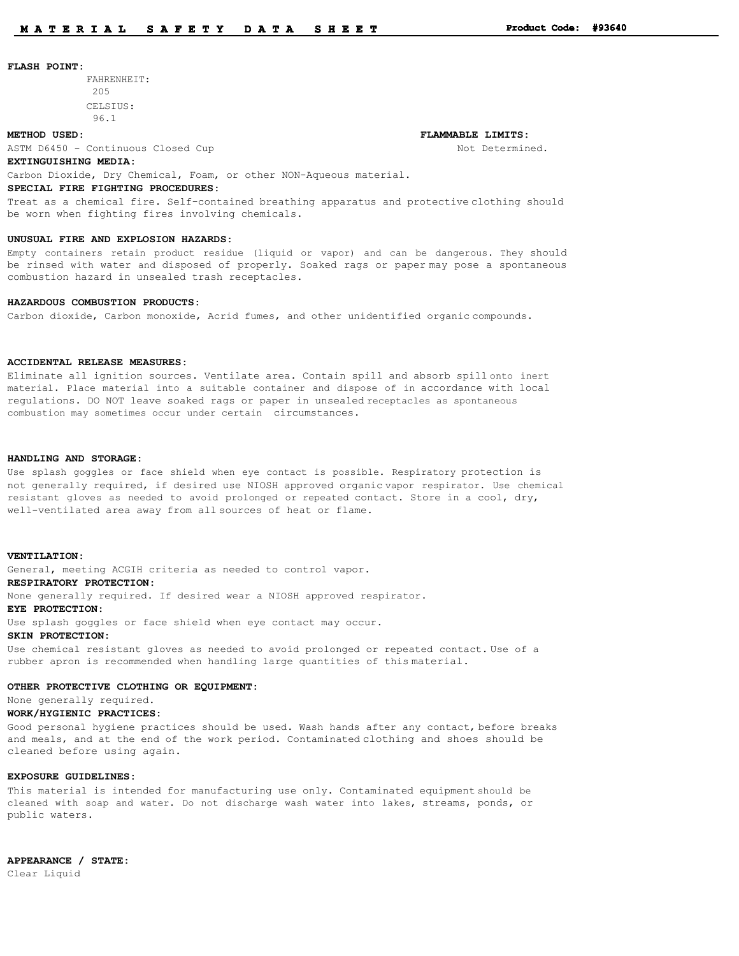#### **FLASH POINT:**

FAHRENHEIT: 205 CELSIUS:

#### **METHOD USED: FLAMMABLE LIMITS:**

ASTM D6450 - Continuous Closed Cup Not Determined.

96.1

## **EXTINGUISHING MEDIA:**

Carbon Dioxide, Dry Chemical, Foam, or other NON-Aqueous material.

# **SPECIAL FIRE FIGHTING PROCEDURES:**

Treat as a chemical fire. Self-contained breathing apparatus and protective clothing should be worn when fighting fires involving chemicals.

## **UNUSUAL FIRE AND EXPLOSION HAZARDS:**

Empty containers retain product residue (liquid or vapor) and can be dangerous. They should be rinsed with water and disposed of properly. Soaked rags or paper may pose a spontaneous combustion hazard in unsealed trash receptacles.

# **HAZARDOUS COMBUSTION PRODUCTS:**

Carbon dioxide, Carbon monoxide, Acrid fumes, and other unidentified organic compounds.

#### **ACCIDENTAL RELEASE MEASURES:**

Eliminate all ignition sources. Ventilate area. Contain spill and absorb spill onto inert material. Place material into a suitable container and dispose of in accordance with local regulations. DO NOT leave soaked rags or paper in unsealed receptacles as spontaneous combustion may sometimes occur under certain circumstances.

### **HANDLING AND STORAGE:**

Use splash goggles or face shield when eye contact is possible. Respiratory protection is not generally required, if desired use NIOSH approved organic vapor respirator. Use chemical resistant gloves as needed to avoid prolonged or repeated contact. Store in a cool, dry, well-ventilated area away from all sources of heat or flame.

#### **VENTILATION:**

General, meeting ACGIH criteria as needed to control vapor.

# **RESPIRATORY PROTECTION:**

None generally required. If desired wear a NIOSH approved respirator.

# **EYE PROTECTION:**

Use splash goggles or face shield when eye contact may occur.

#### **SKIN PROTECTION:**

Use chemical resistant gloves as needed to avoid prolonged or repeated contact. Use of a rubber apron is recommended when handling large quantities of this material.

#### **OTHER PROTECTIVE CLOTHING OR EQUIPMENT:**

None generally required.

#### **WORK/HYGIENIC PRACTICES:**

Good personal hygiene practices should be used. Wash hands after any contact, before breaks and meals, and at the end of the work period. Contaminated clothing and shoes should be cleaned before using again.

# **EXPOSURE GUIDELINES:**

This material is intended for manufacturing use only. Contaminated equipment should be cleaned with soap and water. Do not discharge wash water into lakes, streams, ponds, or public waters.

**APPEARANCE / STATE:** Clear Liquid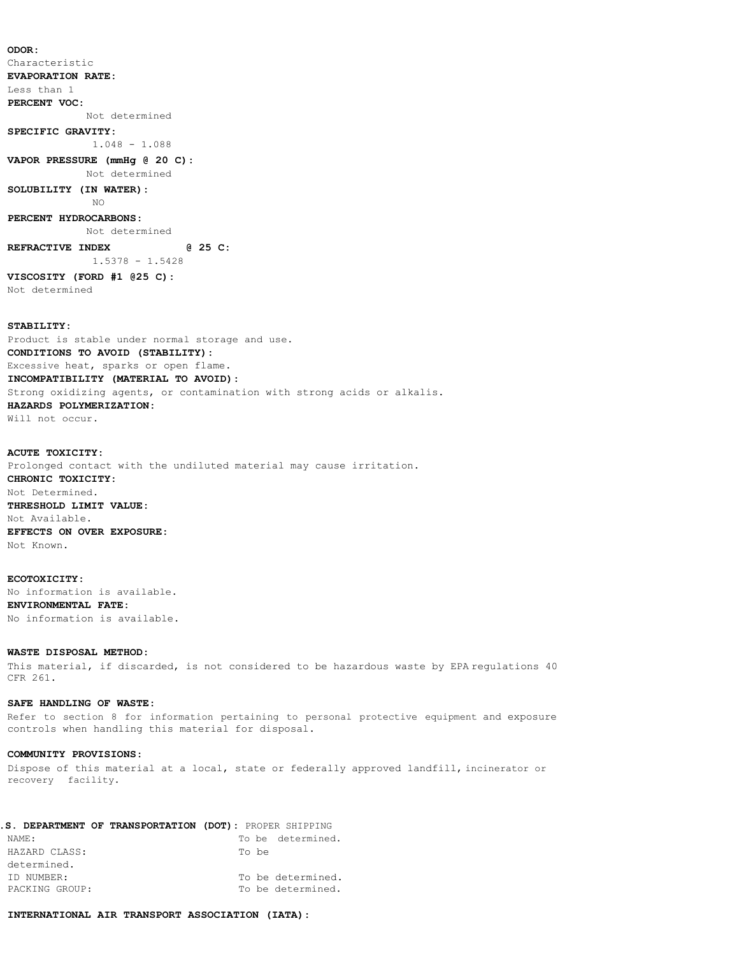**ODOR:** Characteristic **EVAPORATION RATE:** Less than 1 **PERCENT VOC:** Not determined **SPECIFIC GRAVITY:** 1.048 - 1.088 **VAPOR PRESSURE (mmHg @ 20 C):** Not determined **SOLUBILITY (IN WATER):** NO **PERCENT HYDROCARBONS:** Not determined **REFRACTIVE INDEX @ 25 C:** 1.5378 - 1.5428 **VISCOSITY (FORD #1 @25 C):** Not determined

# **STABILITY:**

Product is stable under normal storage and use. **CONDITIONS TO AVOID (STABILITY):** Excessive heat, sparks or open flame. **INCOMPATIBILITY (MATERIAL TO AVOID):** Strong oxidizing agents, or contamination with strong acids or alkalis. **HAZARDS POLYMERIZATION:** Will not occur.

# **ACUTE TOXICITY:**

Prolonged contact with the undiluted material may cause irritation. **CHRONIC TOXICITY:** Not Determined. **THRESHOLD LIMIT VALUE:** Not Available. **EFFECTS ON OVER EXPOSURE:** Not Known.

### **ECOTOXICITY:**

No information is available. **ENVIRONMENTAL FATE:** No information is available.

# **WASTE DISPOSAL METHOD:**

This material, if discarded, is not considered to be hazardous waste by EPA regulations 40 CFR 261.

## **SAFE HANDLING OF WASTE:**

Refer to section 8 for information pertaining to personal protective equipment and exposure controls when handling this material for disposal.

## **COMMUNITY PROVISIONS:**

Dispose of this material at a local, state or federally approved landfill, incinerator or recovery facility.

|                | I.S. DEPARTMENT OF TRANSPORTATION (DOT): PROPER SHIPPING |
|----------------|----------------------------------------------------------|
| NAME:          | To be determined.                                        |
| HAZARD CLASS:  | To be                                                    |
| determined.    |                                                          |
| ID NUMBER:     | To be determined.                                        |
| PACKING GROUP: | To be determined.                                        |

# **INTERNATIONAL AIR TRANSPORT ASSOCIATION (IATA):**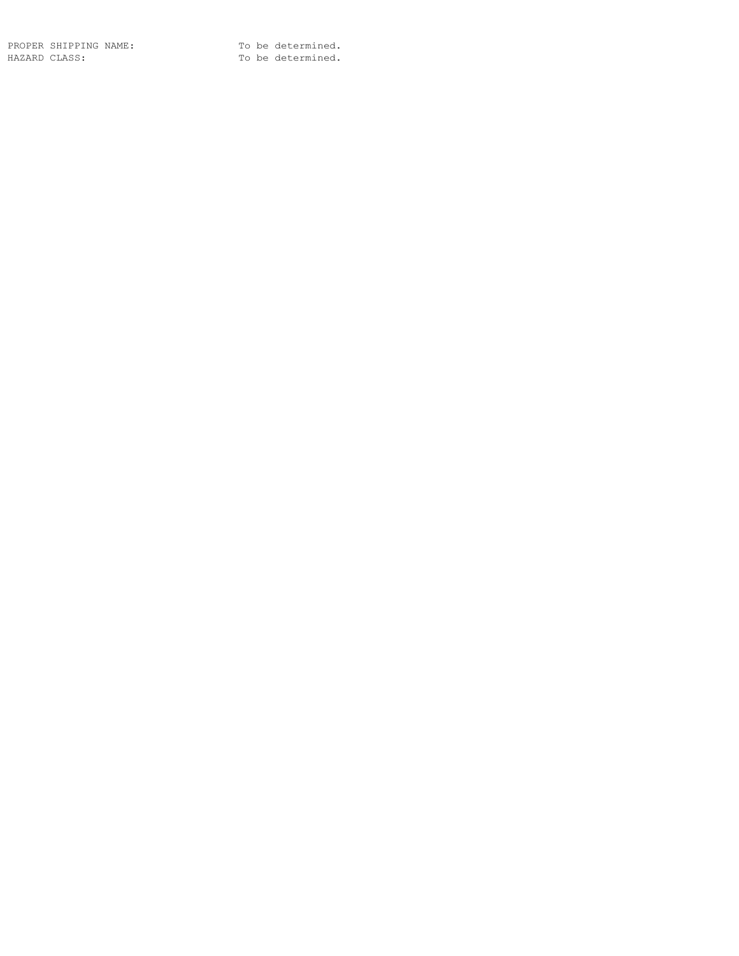PROPER SHIPPING NAME: To be determined. HAZARD CLASS: To be determined.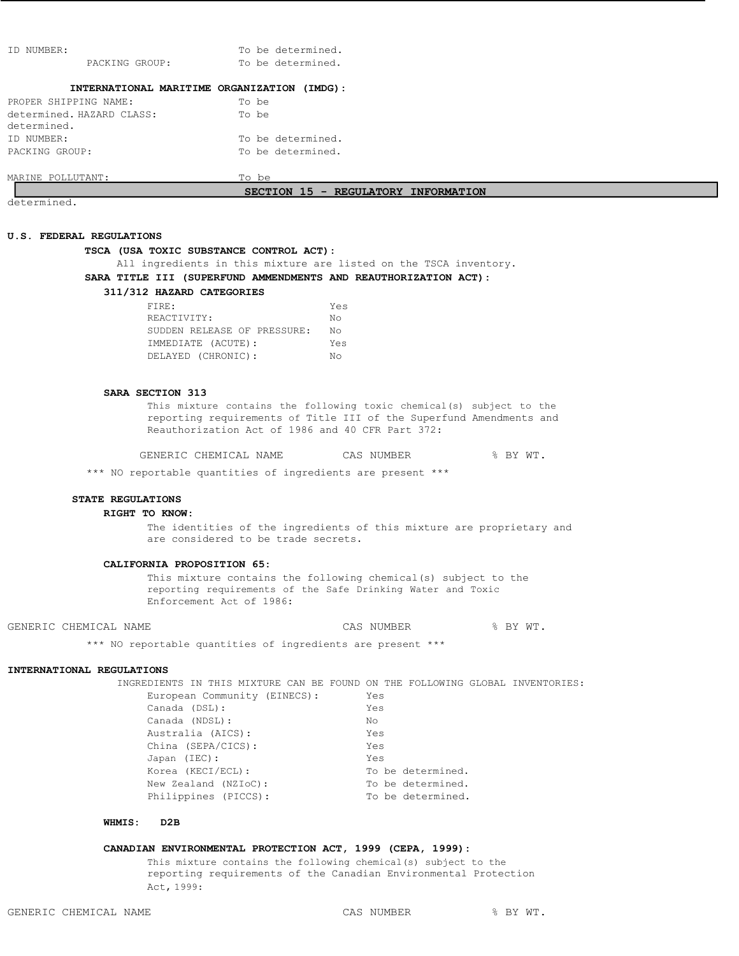| NUMBER:<br>T D                              | To be determined.                   |
|---------------------------------------------|-------------------------------------|
| PACKING GROUP:                              | To be determined.                   |
|                                             |                                     |
| INTERNATIONAL MARITIME ORGANIZATION (IMDG): |                                     |
| PROPER SHIPPING NAME:                       | To be                               |
| determined. HAZARD CLASS:                   | To be                               |
| determined.                                 |                                     |
| ID NUMBER:                                  | To be determined.                   |
| PACKING GROUP:                              | To be determined.                   |
|                                             |                                     |
| MARINE POLLUTANT:                           | To be                               |
|                                             | SECTION 15 - REGULATORY INFORMATION |
| $d$ otorminod                               |                                     |

determined.

# **U.S. FEDERAL REGULATIONS**

# **TSCA (USA TOXIC SUBSTANCE CONTROL ACT):**

All ingredients in this mixture are listed on the TSCA inventory.

# **SARA TITLE III (SUPERFUND AMMENDMENTS AND REAUTHORIZATION ACT):**

# **311/312 HAZARD CATEGORIES**

| Yes |
|-----|
| Nο  |
| NΩ  |
| Yes |
| N∩  |
|     |

# **SARA SECTION 313**

This mixture contains the following toxic chemical(s) subject to the reporting requirements of Title III of the Superfund Amendments and Reauthorization Act of 1986 and 40 CFR Part 372:

GENERIC CHEMICAL NAME CAS NUMBER  $\frac{8}{3}$  BY WT.

\*\*\* NO reportable quantities of ingredients are present \*\*\*

#### **STATE REGULATIONS**

#### **RIGHT TO KNOW:**

The identities of the ingredients of this mixture are proprietary and are considered to be trade secrets.

### **CALIFORNIA PROPOSITION 65:**

This mixture contains the following chemical(s) subject to the reporting requirements of the Safe Drinking Water and Toxic Enforcement Act of 1986:

GENERIC CHEMICAL NAME  $\begin{array}{ccc} \text{CAS} & \text{NUMBER} \end{array}$   $\begin{array}{ccc} \text{S BY WT.} \end{array}$ 

\*\*\* NO reportable quantities of ingredients are present \*\*\*

# **INTERNATIONAL REGULATIONS**

INGREDIENTS IN THIS MIXTURE CAN BE FOUND ON THE FOLLOWING GLOBAL INVENTORIES: European Community (EINECS): Yes Canada (DSL): Yes Canada (NDSL): No Australia (AICS): Yes China (SEPA/CICS): Yes

| CIILIIQ (OBEA/UIUO). | $-5$              |
|----------------------|-------------------|
| Japan (IEC):         | Yes               |
| Korea (KECI/ECL):    | To be determined. |
| New Zealand (NZIoC): | To be determined. |
| Philippines (PICCS): | To be determined. |
|                      |                   |

# **WHMIS: D2B**

# **CANADIAN ENVIRONMENTAL PROTECTION ACT, 1999 (CEPA, 1999):**

This mixture contains the following chemical(s) subject to the reporting requirements of the Canadian Environmental Protection Act, 1999: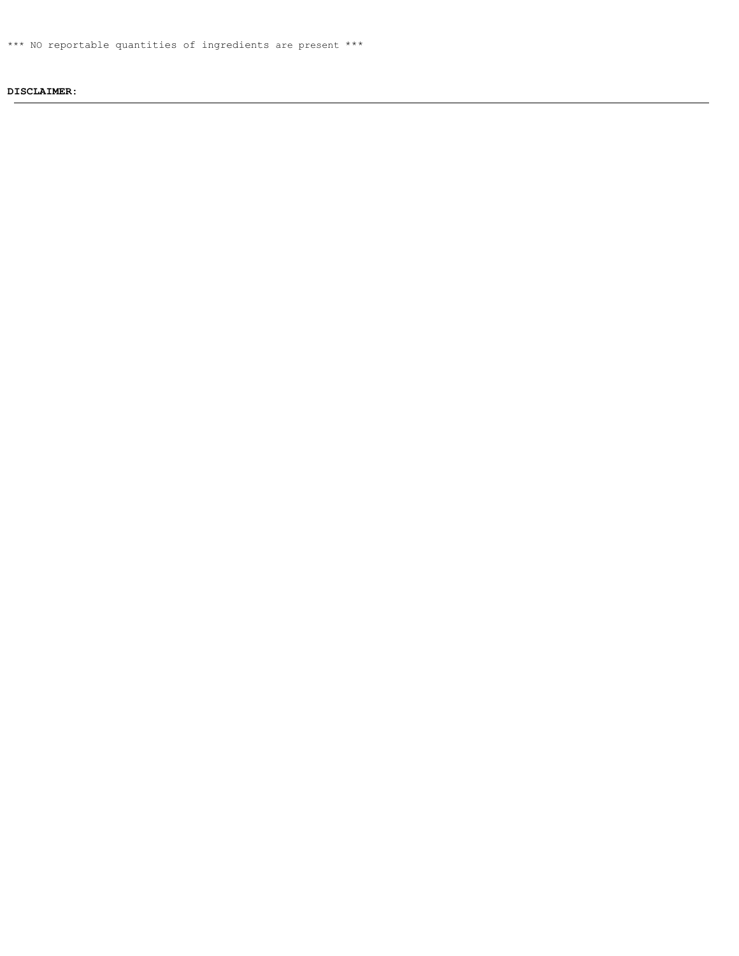\*\*\* NO reportable quantities of ingredients are present \*\*\*

# **DISCLAIMER:**